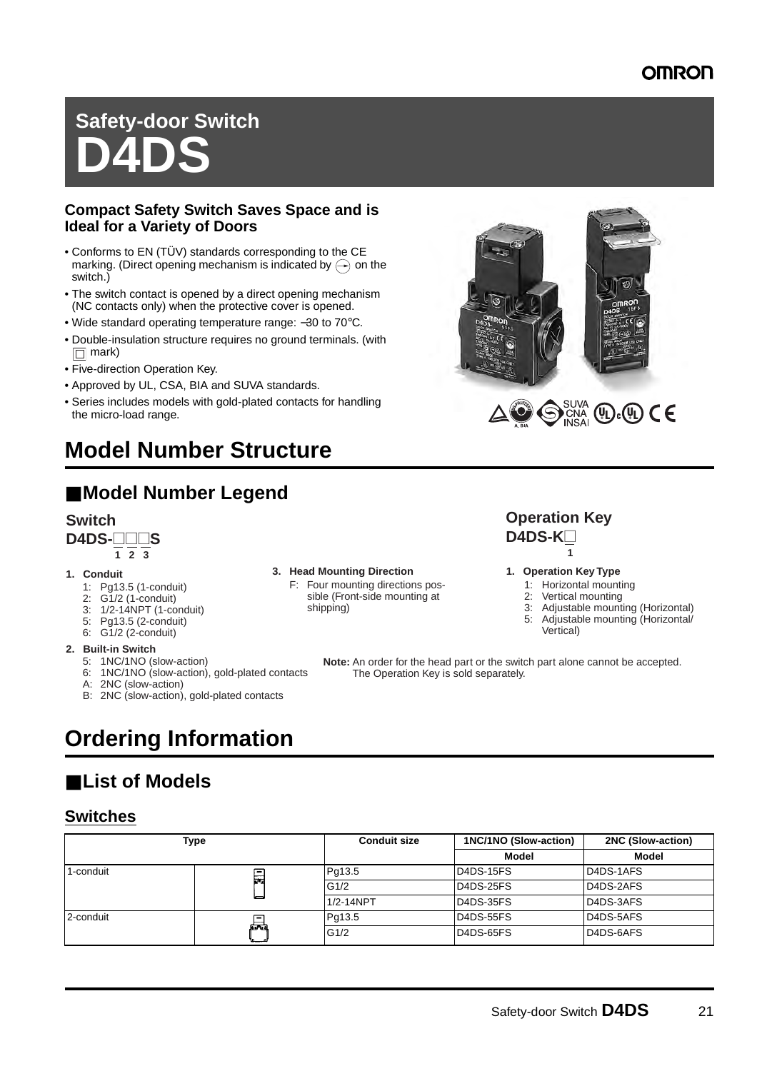# **Safety-door Switch D4DS**

### **Compact Safety Switch Saves Space and is Ideal for a Variety of Doors**

- Conforms to EN (TÜV) standards corresponding to the CE marking. (Direct opening mechanism is indicated by  $\left(\rightarrow\right)$  on the switch.)
- The switch contact is opened by a direct opening mechanism (NC contacts only) when the protective cover is opened.
- Wide standard operating temperature range: −30 to 70°C.
- Double-insulation structure requires no ground terminals. (with  $\Box$  mark)
- Five-direction Operation Key.
- Approved by UL, CSA, BIA and SUVA standards.
- Series includes models with gold-plated contacts for handling the micro-load range.

# **Model Number Structure**

# ■ **Model Number Legend**

# **Switch**

**D4DS-** $\Box$ **S** 

### **1. Conduit**

- 1: Pg13.5 (1-conduit)
- 2: G1/2 (1-conduit)
- 3: 1/2-14NPT (1-conduit)
- 5: Pg13.5 (2-conduit)
- 6: G1/2 (2-conduit)

#### **2. Built-in Switch**

- 5: 1NC/1NO (slow-action)
- 6: 1NC/1NO (slow-action), gold-plated contacts
- A: 2NC (slow-action)
- B: 2NC (slow-action), gold-plated contacts

#### **3. Head Mounting Direction 1. Operation Key Type**

F: Four mounting directions possible (Front-side mounting at shipping)

#### **1 2 3 1 D4DS-K** $\Box$ **Operation Key**

- 1: Horizontal mounting<br>2: Vertical mounting
- Vertical mounting
- 3: Adjustable mounting (Horizontal)<br>5: Adjustable mounting (Horizontal/
- Adjustable mounting (Horizontal/ Vertical)

**Note:** An order for the head part or the switch part alone cannot be accepted. The Operation Key is sold separately.

# **Ordering Information**

# ■ **List of Models**

### **Switches**

| Type      |    | <b>Conduit size</b> | 1NC/1NO (Slow-action) | <b>2NC (Slow-action)</b> |  |
|-----------|----|---------------------|-----------------------|--------------------------|--|
|           |    |                     | Model                 | Model                    |  |
| 1-conduit | ЯП | Pg13.5              | D4DS-15FS             | D4DS-1AFS                |  |
|           |    | G1/2                | D4DS-25FS             | D4DS-2AFS                |  |
|           | دا | 1/2-14NPT           | D4DS-35FS             | D4DS-3AFS                |  |
| 2-conduit | 昷  | Pg13.5              | D4DS-55FS             | D4DS-5AFS                |  |
|           |    | G1/2                | D4DS-65FS             | D4DS-6AFS                |  |

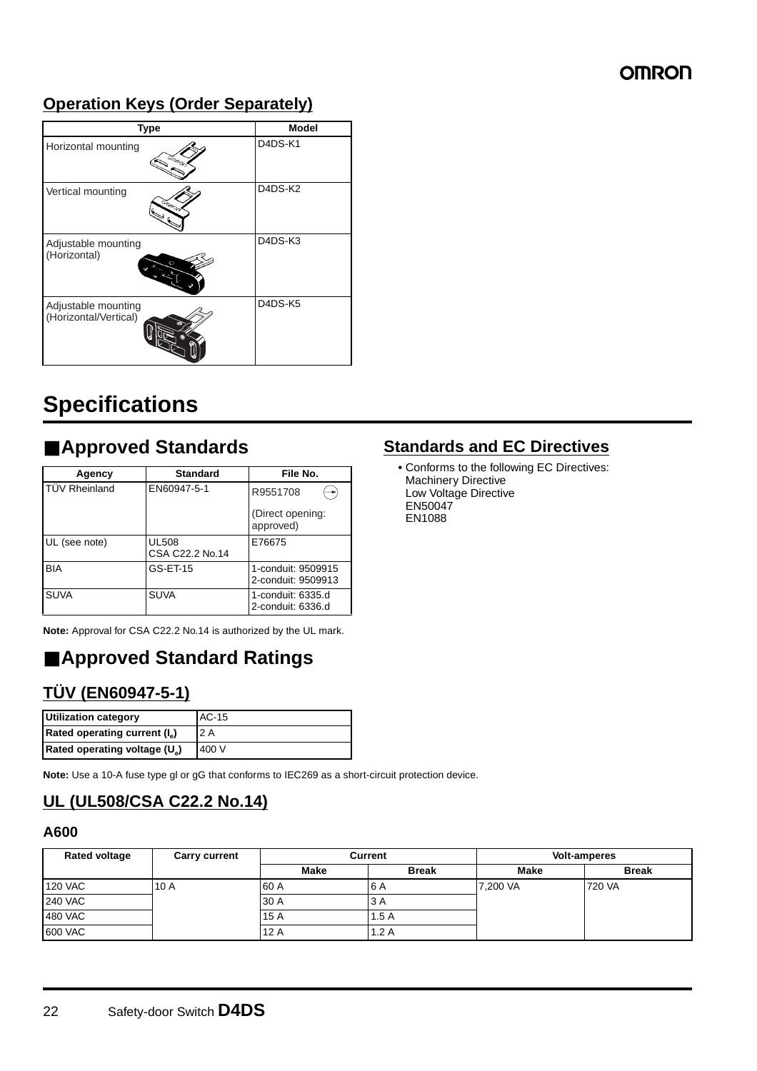### **Operation Keys (Order Separately)**

| <b>Type</b>                                  | <b>Model</b> |
|----------------------------------------------|--------------|
| Horizontal mounting                          | D4DS-K1      |
| Vertical mounting                            | D4DS-K2      |
| Adjustable mounting<br>(Horizontal)<br>ĸ۵    | D4DS-K3      |
| Adjustable mounting<br>(Horizontal/Vertical) | D4DS-K5      |

# **Specifications**

# ■ **Approved Standards**

| Agency               | <b>Standard</b>                 | File No.                                 |  |
|----------------------|---------------------------------|------------------------------------------|--|
| <b>TÜV Rheinland</b> | EN60947-5-1                     | R9551708                                 |  |
|                      |                                 | (Direct opening:<br>approved)            |  |
| UL (see note)        | <b>UL508</b><br>CSA C22.2 No.14 | E76675                                   |  |
| <b>BIA</b>           | GS-ET-15                        | 1-conduit: 9509915<br>2-conduit: 9509913 |  |
| <b>SUVA</b>          | <b>SUVA</b>                     | 1-conduit: 6335.d<br>2-conduit: 6336.d   |  |

**Note:** Approval for CSA C22.2 No.14 is authorized by the UL mark.

# ■ **Approved Standard Ratings**

# **TÜV (EN60947-5-1)**

| <b>Utilization category</b>               | AC-15 |
|-------------------------------------------|-------|
| Rated operating current (I <sub>e</sub> ) | '2 A  |
| Rated operating voltage (U <sub>a</sub> ) | 400 V |

**Note:** Use a 10-A fuse type gl or gG that conforms to IEC269 as a short-circuit protection device.

### **UL (UL508/CSA C22.2 No.14)**

#### **A600**

| Rated voltage  | <b>Carry current</b> | <b>Current</b> |              | <b>Volt-amperes</b> |              |
|----------------|----------------------|----------------|--------------|---------------------|--------------|
|                |                      | <b>Make</b>    | <b>Break</b> | <b>Make</b>         | <b>Break</b> |
| <b>120 VAC</b> | 10A                  | 60 A           | 6 A          | 7,200 VA            | 720 VA       |
| <b>240 VAC</b> |                      | 30 A           | 3 A          |                     |              |
| 480 VAC        |                      | 15A            | 1.5A         |                     |              |
| 600 VAC        |                      | 12A            | 1.2A         |                     |              |

### **Standards and EC Directives**

**•** Conforms to the following EC Directives: Machinery Directive Low Voltage Directive EN50047 EN1088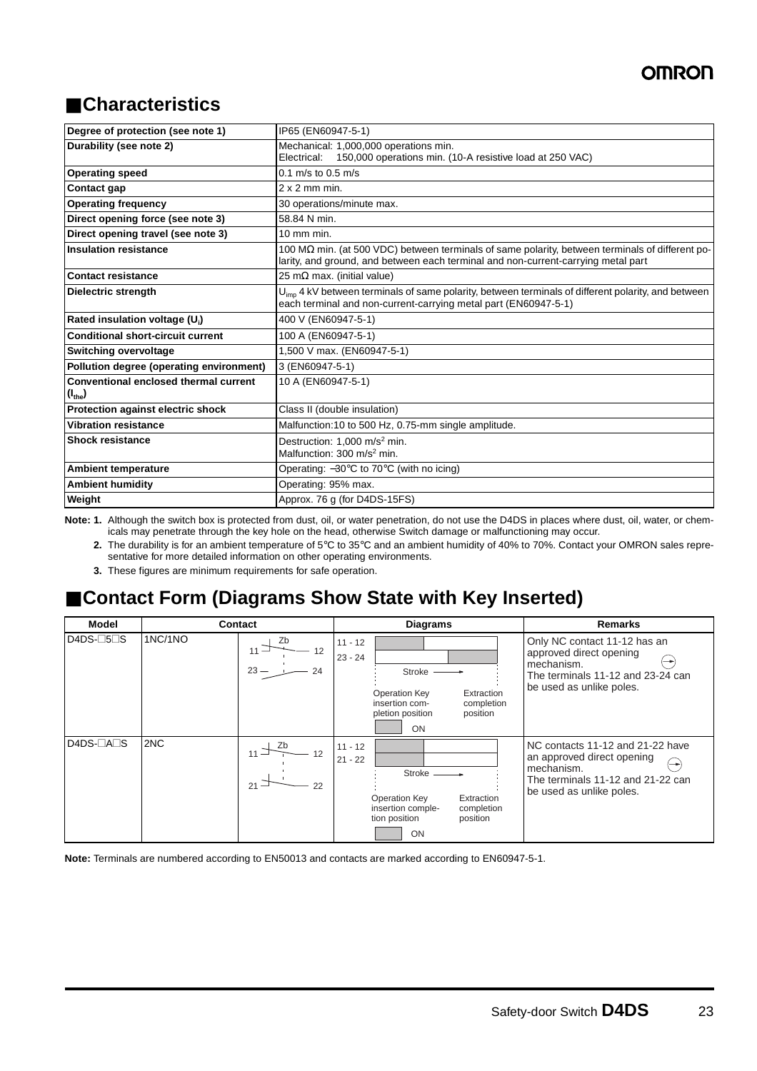# ■ **Characteristics**

| Degree of protection (see note 1)                            | IP65 (EN60947-5-1)                                                                                                                                                                           |
|--------------------------------------------------------------|----------------------------------------------------------------------------------------------------------------------------------------------------------------------------------------------|
| Durability (see note 2)                                      | Mechanical: 1,000,000 operations min.<br>Electrical: 150,000 operations min. (10-A resistive load at 250 VAC)                                                                                |
| <b>Operating speed</b>                                       | $0.1 \text{ m/s}$ to $0.5 \text{ m/s}$                                                                                                                                                       |
| Contact gap                                                  | $2 \times 2$ mm min.                                                                                                                                                                         |
| <b>Operating frequency</b>                                   | 30 operations/minute max.                                                                                                                                                                    |
| Direct opening force (see note 3)                            | 58.84 N min.                                                                                                                                                                                 |
| Direct opening travel (see note 3)                           | $10 \text{ mm}$ min.                                                                                                                                                                         |
| <b>Insulation resistance</b>                                 | 100 M $\Omega$ min. (at 500 VDC) between terminals of same polarity, between terminals of different po-<br>larity, and ground, and between each terminal and non-current-carrying metal part |
| <b>Contact resistance</b>                                    | 25 m $\Omega$ max. (initial value)                                                                                                                                                           |
| <b>Dielectric strength</b>                                   | $U_{\text{imp}}$ 4 kV between terminals of same polarity, between terminals of different polarity, and between<br>each terminal and non-current-carrying metal part (EN60947-5-1)            |
| Rated insulation voltage (U.)                                | 400 V (EN60947-5-1)                                                                                                                                                                          |
| <b>Conditional short-circuit current</b>                     | 100 A (EN60947-5-1)                                                                                                                                                                          |
| <b>Switching overvoltage</b>                                 | 1,500 V max. (EN60947-5-1)                                                                                                                                                                   |
| Pollution degree (operating environment)                     | 3 (EN60947-5-1)                                                                                                                                                                              |
| Conventional enclosed thermal current<br>(I <sub>the</sub> ) | 10 A (EN60947-5-1)                                                                                                                                                                           |
| Protection against electric shock                            | Class II (double insulation)                                                                                                                                                                 |
| <b>Vibration resistance</b>                                  | Malfunction: 10 to 500 Hz, 0.75-mm single amplitude.                                                                                                                                         |
| <b>Shock resistance</b>                                      | Destruction: 1,000 m/s <sup>2</sup> min.<br>Malfunction: 300 m/s <sup>2</sup> min.                                                                                                           |
| <b>Ambient temperature</b>                                   | Operating: $-30^{\circ}$ C to 70 $^{\circ}$ C (with no icing)                                                                                                                                |
| <b>Ambient humidity</b>                                      | Operating: 95% max.                                                                                                                                                                          |
| Weight                                                       | Approx. 76 g (for D4DS-15FS)                                                                                                                                                                 |

Note: 1. Although the switch box is protected from dust, oil, or water penetration, do not use the D4DS in places where dust, oil, water, or chemicals may penetrate through the key hole on the head, otherwise Switch damage or malfunctioning may occur.

**2.** The durability is for an ambient temperature of 5°C to 35°C and an ambient humidity of 40% to 70%. Contact your OMRON sales representative for more detailed information on other operating environments.

**3.** These figures are minimum requirements for safe operation.

# ■ Contact Form (Diagrams Show State with Key Inserted)

| Model     |         | Contact                            |                        | <b>Diagrams</b>                                                            |                                      | <b>Remarks</b>                                                                                                                                       |
|-----------|---------|------------------------------------|------------------------|----------------------------------------------------------------------------|--------------------------------------|------------------------------------------------------------------------------------------------------------------------------------------------------|
| $D4DS-5S$ | 1NC/1NO | Zb<br>12<br>$11 -$<br>$23 -$<br>24 | $11 - 12$<br>$23 - 24$ | <b>Stroke</b><br>Operation Key<br>insertion com-<br>pletion position<br>ON | Extraction<br>completion<br>position | Only NC contact 11-12 has an<br>approved direct opening<br>mechanism.<br>The terminals 11-12 and 23-24 can<br>be used as unlike poles.               |
| D4DS-□A□S | 2NC     | 12<br>21<br>22                     | $11 - 12$<br>$21 - 22$ | Stroke<br><b>Operation Key</b><br>insertion comple-<br>tion position<br>ON | Extraction<br>completion<br>position | NC contacts 11-12 and 21-22 have<br>an approved direct opening<br>(—⊷<br>mechanism.<br>The terminals 11-12 and 21-22 can<br>be used as unlike poles. |

**Note:** Terminals are numbered according to EN50013 and contacts are marked according to EN60947-5-1.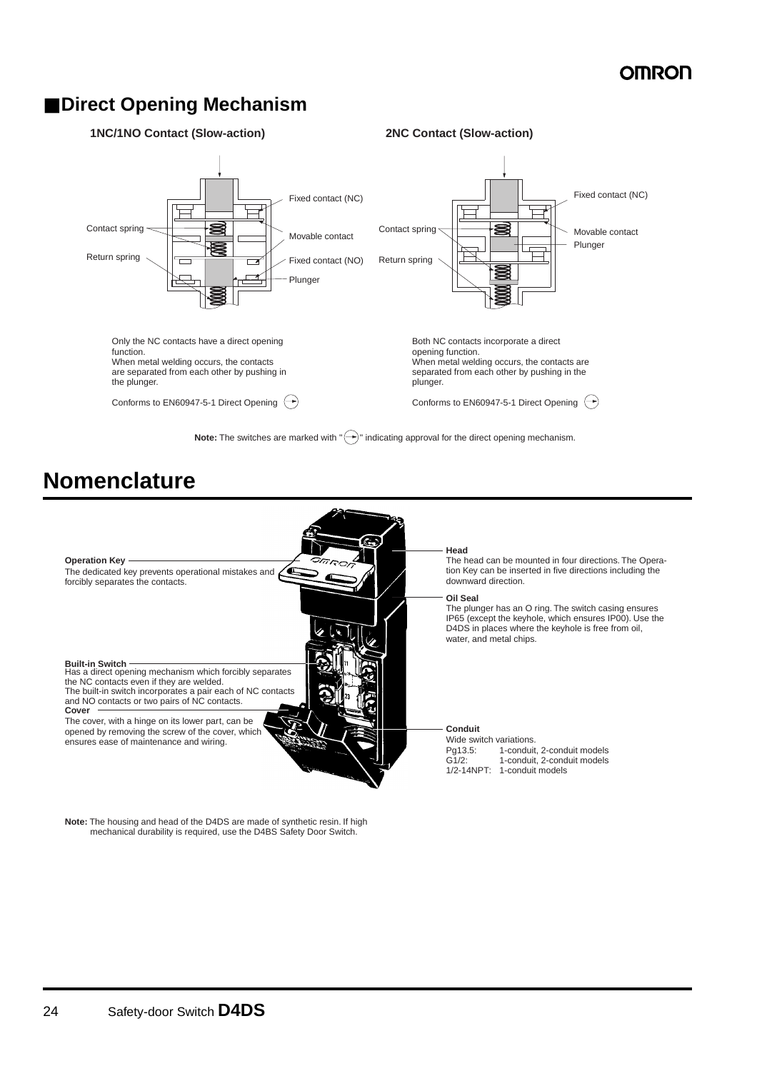### ■ **Direct Opening Mechanism**



# **Nomenclature**



**Note:** The housing and head of the D4DS are made of synthetic resin. If high mechanical durability is required, use the D4BS Safety Door Switch.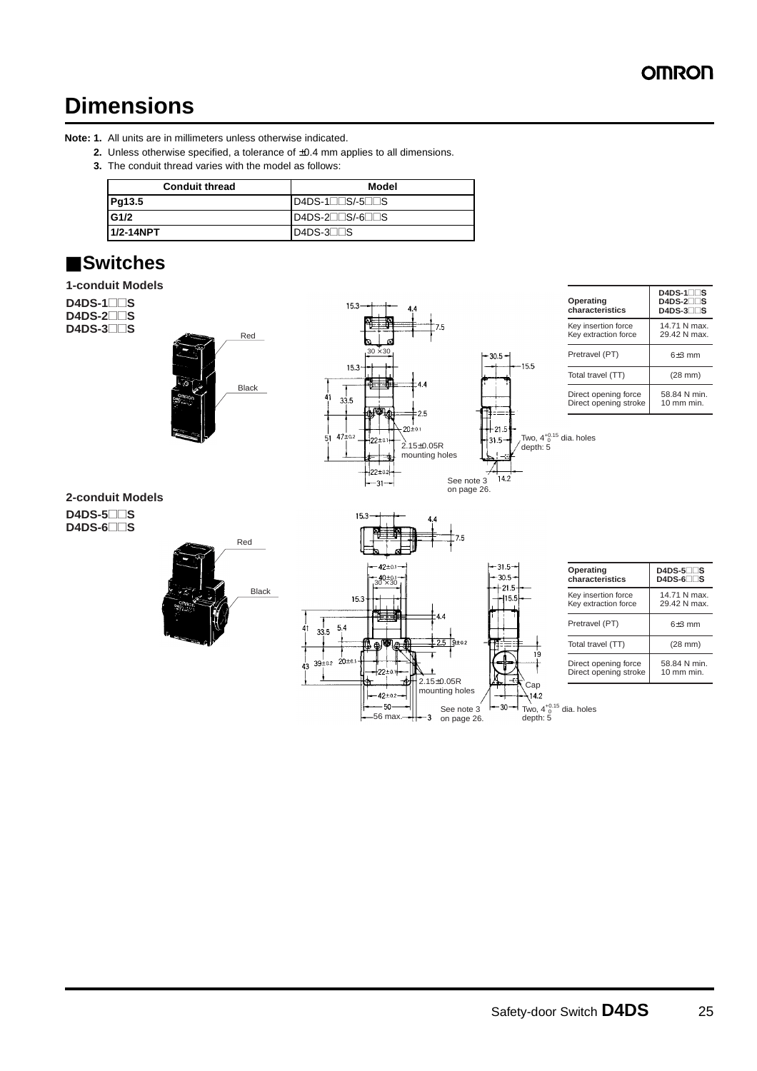# **Dimensions**

#### **Note: 1.** All units are in millimeters unless otherwise indicated.

- **2.** Unless otherwise specified, a tolerance of ±0.4 mm applies to all dimensions.
- **3.** The conduit thread varies with the model as follows:

| <b>Conduit thread</b> | Model                             |
|-----------------------|-----------------------------------|
| Pg13.5                | $ID4DS-1\square$ S/-5 $\square$ S |
| G1/2                  | $D4DS-2$ $S/-6$ $S$               |
| 1/2-14NPT             | $D4DS-3$                          |

# ■ **Switches**

#### **1-conduit Models**



56 max.

 $-50$ 

See note 3 on page 26.

-3

30

Two,  $4^{+0.15}_{-0}$  dia. holes<br>depth: 5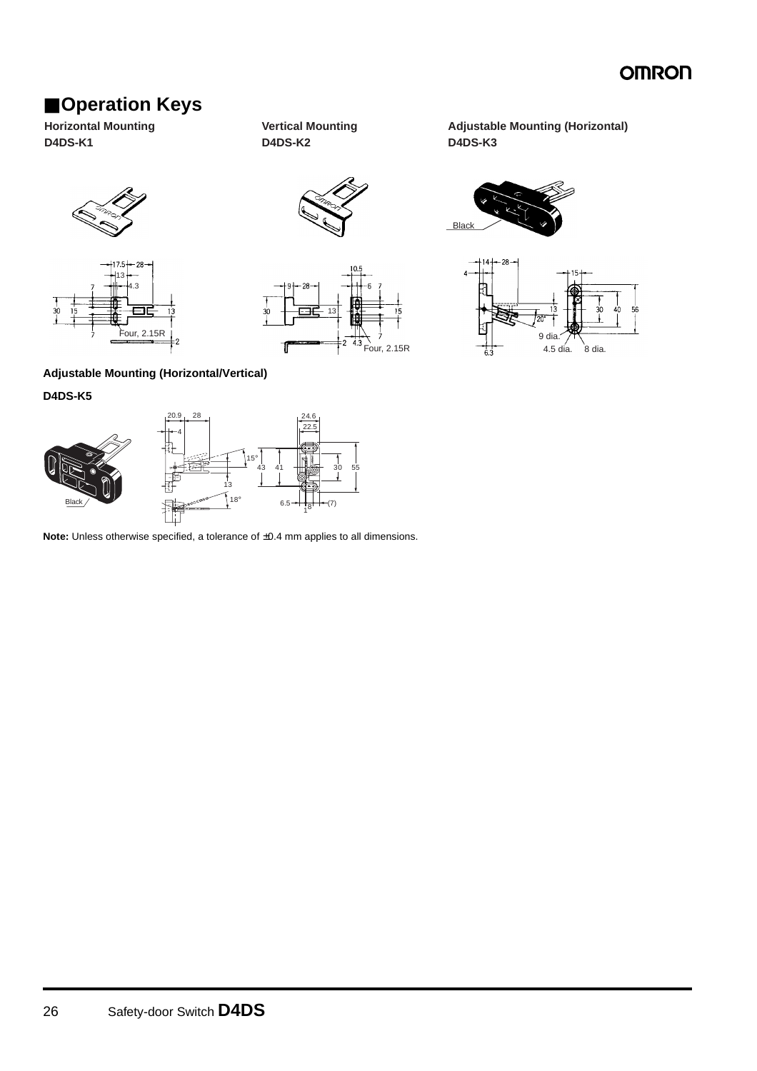# ■ **Operation Keys**

**Horizontal Mounting D4DS-K1**



**Adjustable Mounting (Horizontal) D4DS-K3**

**Black** 

9 dia.







#### **Adjustable Mounting (Horizontal/Vertical)**

**D4DS-K5**



**Note:** Unless otherwise specified, a tolerance of ±0.4 mm applies to all dimensions.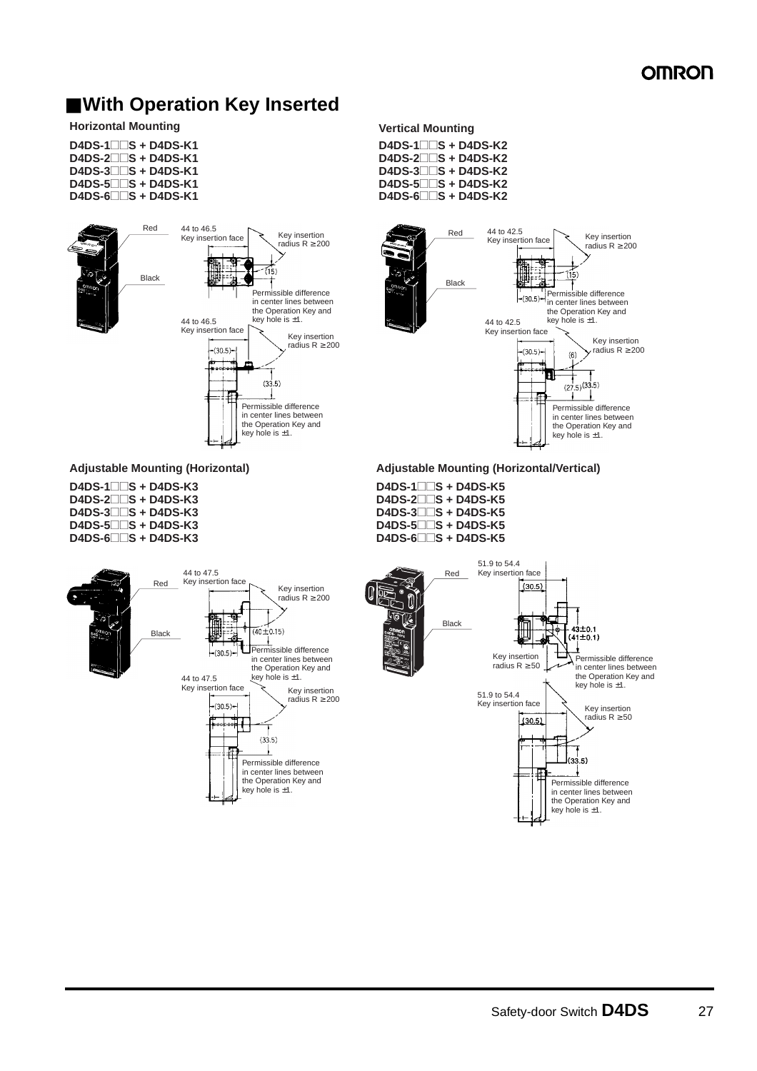## ■ With Operation Key Inserted

#### **Horizontal Mounting Vertical Mounting**

| $D4DS-1$ $S + D4DS-K1$        |  |
|-------------------------------|--|
| $D4DS-2$ $S + D4DS-K1$        |  |
| $D4DS-3$ $S + D4DS-K1$        |  |
| $D4DS-5$ $\Box$ $S + D4DS-K1$ |  |
| $D4DS-6$ $\Box$ $S + D4DS-K1$ |  |



**D4DS-1**@@**S + D4DS-K3 D4DS-2**@@**S + D4DS-K3 D4DS-3**@@**S + D4DS-K3 D4DS-5**@@**S + D4DS-K3 D4DS-6**@@**S + D4DS-K3**

**D4DS-1**@@**S + D4DS-K2 D4DS-2**@@**S + D4DS-K2 D4DS-3**@@**S + D4DS-K2 D4DS-5**@@**S + D4DS-K2 D4DS-6**@@**S + D4DS-K2**



**Adjustable Mounting (Horizontal) Adjustable Mounting (Horizontal/Vertical)**

**D4DS-1**@@**S + D4DS-K5 D4DS-2**@@**S + D4DS-K5 D4DS-3**@@**S + D4DS-K5 D4DS-5**@@**S + D4DS-K5 D4DS-6**@@**S + D4DS-K5**

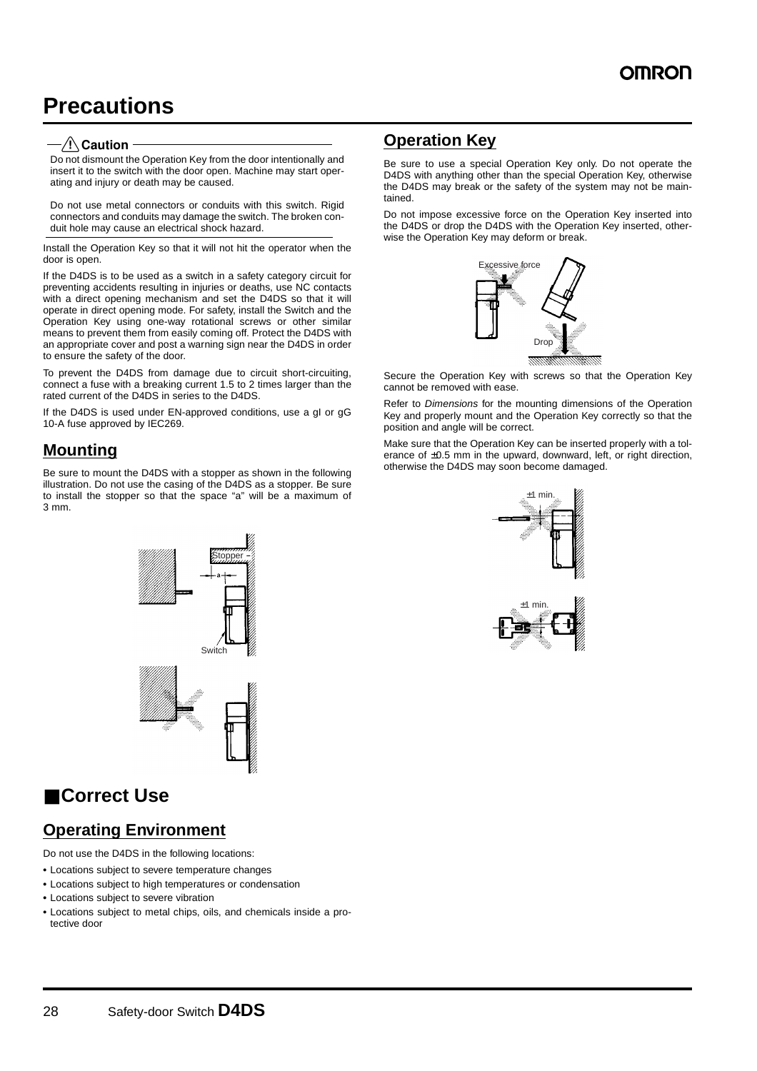# **Precautions**

#### $-\sqrt{!}\backslash$ Caution

Do not dismount the Operation Key from the door intentionally and insert it to the switch with the door open. Machine may start operating and injury or death may be caused.

Do not use metal connectors or conduits with this switch. Rigid connectors and conduits may damage the switch. The broken conduit hole may cause an electrical shock hazard.

Install the Operation Key so that it will not hit the operator when the door is open.

If the D4DS is to be used as a switch in a safety category circuit for preventing accidents resulting in injuries or deaths, use NC contacts with a direct opening mechanism and set the D4DS so that it will operate in direct opening mode. For safety, install the Switch and the Operation Key using one-way rotational screws or other similar means to prevent them from easily coming off. Protect the D4DS with an appropriate cover and post a warning sign near the D4DS in order to ensure the safety of the door.

To prevent the D4DS from damage due to circuit short-circuiting, connect a fuse with a breaking current 1.5 to 2 times larger than the rated current of the D4DS in series to the D4DS.

If the D4DS is used under EN-approved conditions, use a gI or gG 10-A fuse approved by IEC269.

### **Mounting**

Be sure to mount the D4DS with a stopper as shown in the following illustration. Do not use the casing of the D4DS as a stopper. Be sure to install the stopper so that the space "a" will be a maximum of 3 mm.

Stopper

**Switch** 

# ■ **Correct Use**

**Operating Environment**

Do not use the D4DS in the following locations:

- **•** Locations subject to severe temperature changes
- **•** Locations subject to high temperatures or condensation
- **•** Locations subject to severe vibration
- **•** Locations subject to metal chips, oils, and chemicals inside a protective door

### **Operation Key**

Be sure to use a special Operation Key only. Do not operate the D4DS with anything other than the special Operation Key, otherwise the D4DS may break or the safety of the system may not be maintained.

Do not impose excessive force on the Operation Key inserted into the D4DS or drop the D4DS with the Operation Key inserted, otherwise the Operation Key may deform or break.



Secure the Operation Key with screws so that the Operation Key cannot be removed with ease.

Refer to Dimensions for the mounting dimensions of the Operation Key and properly mount and the Operation Key correctly so that the position and angle will be correct.

Make sure that the Operation Key can be inserted properly with a tolerance of ±0.5 mm in the upward, downward, left, or right direction, otherwise the D4DS may soon become damaged.

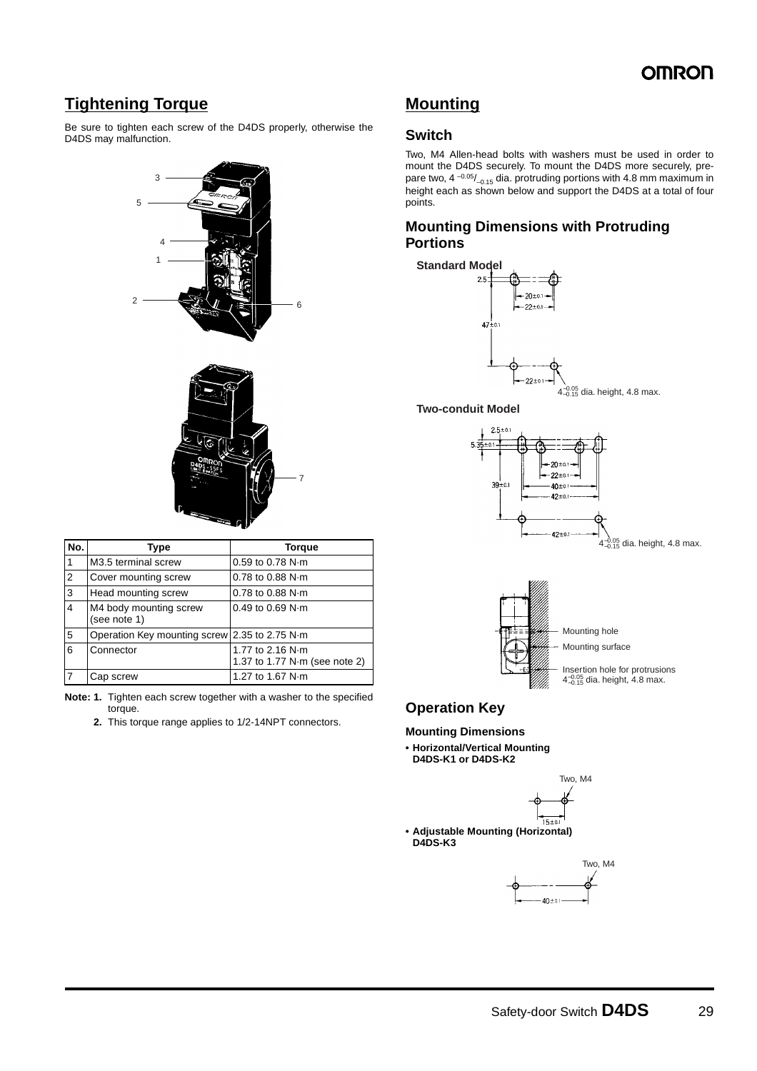### **Tightening Torque**

Be sure to tighten each screw of the D4DS properly, otherwise the D4DS may malfunction.



| No.            | Type                                          | <b>Torque</b>                                             |
|----------------|-----------------------------------------------|-----------------------------------------------------------|
|                | M3.5 terminal screw                           | $0.59$ to $0.78$ N $\cdot$ m                              |
| $\overline{2}$ | Cover mounting screw                          | 0.78 to 0.88 N·m                                          |
| 3              | Head mounting screw                           | $0.78$ to $0.88$ N m                                      |
| $\overline{4}$ | M4 body mounting screw<br>(see note 1)        | $0.49$ to $0.69$ N $\cdot$ m                              |
| .5             | Operation Key mounting screw 2.35 to 2.75 N·m |                                                           |
| 6              | Connector                                     | 1.77 to 2.16 N·m<br>1.37 to 1.77 $N \cdot m$ (see note 2) |
| $\overline{7}$ | Cap screw                                     | 1.27 to 1.67 N·m                                          |

- **Note: 1.** Tighten each screw together with a washer to the specified torque.
	- **2.** This torque range applies to 1/2-14NPT connectors.

### **Mounting**

#### **Switch**

Two, M4 Allen-head bolts with washers must be used in order to mount the D4DS securely. To mount the D4DS more securely, prepare two, 4  $-0.05/$ <sub>-0.15</sub> dia. protruding portions with 4.8 mm maximum in height each as shown below and support the D4DS at a total of four points.

#### **Mounting Dimensions with Protruding Portions**



#### **Two-conduit Model**





### **Operation Key**

#### **Mounting Dimensions**

**• Horizontal/Vertical Mounting D4DS-K1 or D4DS-K2**



**• Adjustable Mounting (Horizontal) D4DS-K3**